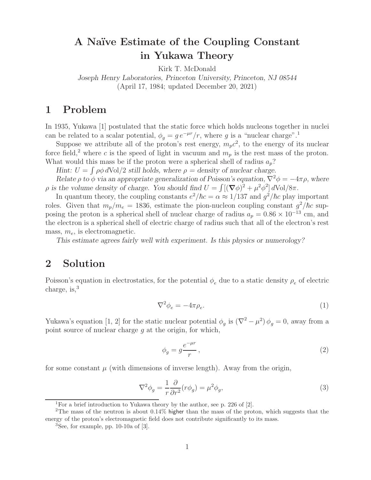## A Naïve Estimate of the Coupling Constant<br>in Yukawa Theory

Kirk T. McDonald

*Joseph Henry Laboratories, Princeton University, Princeton, NJ 08544* (April 17, 1984; updated December 20, 2021)

In 1935, Yukawa [1] postulated that the static force which holds nucleons together in nuclei can be related to a scalar potential,  $\phi_g = g e^{-\mu r}/r$ , where g is a "nuclear charge".<sup>1</sup><br>Suppose we attribute all of the proton's rest energy m  $c^2$  to the energy of it

Suppose we attribute all of the proton's rest energy,  $m_p c^2$ , to the energy of its nuclear force field,<sup>2</sup> where c is the speed of light in vacuum and  $m_p$  is the rest mass of the proton. What would this mass be if the proton were a spherical shell of radius  $a_p$ ?

*Hint:*  $U = \int \rho \phi \, d\text{Vol}/2$  *still holds, where*  $\rho =$  density of nuclear charge.

*Relate*  $\rho$  *to*  $\phi$  *via an appropriate generalization of Poisson's equation,*  $\nabla^2 \phi = -4\pi \rho$ *, where* p is the volume density of charge. You should find  $U = \int [(\nabla \phi)^2 + \mu^2 \phi^2] d\text{Vol}/8\pi$ .

In quantum theory, the coupling constants  $e^2/\hbar c = \alpha \approx 1/137$  and  $g^2/\hbar c$  play important roles. Given that  $m_p/m_e = 1836$ , estimate the pion-nucleon coupling constant  $g^2/\hbar c$  supposing the proton is a spherical shell of nuclear charge of radius  $a_p = 0.86 \times 10^{-13}$  cm, and the electron is a spherical shell of electric charge of radius such that all of the electron's rest mass, <sup>m</sup>*e*, is electromagnetic.

*This estimate agrees fairly well with experiment. Is this physics or numerology?*

## $\overline{2}$ **2 Solution**

Poisson's equation in electrostatics, for the potential  $\phi_e$  due to a static density  $\rho_e$  of electric charge is <sup>3</sup> charge, is, $3$ 

$$
\nabla^2 \phi_e = -4\pi \rho_e. \tag{1}
$$

Yukawa's equation [1, 2] for the static nuclear potential  $\phi_g$  is  $(\nabla^2 - \mu^2) \phi_g = 0$ , away from a point source of nuclear charge g at the origin, for which,

$$
\phi_g = g \frac{e^{-\mu r}}{r},\tag{2}
$$

for some constant  $\mu$  (with dimensions of inverse length). Away from the origin,

$$
\nabla^2 \phi_g = \frac{1}{r} \frac{\partial}{\partial r^2} (r \phi_g) = \mu^2 \phi_g,\tag{3}
$$

<sup>&</sup>lt;sup>1</sup>For a brief introduction to Yukawa theory by the author, see p. 226 of  $[2]$ .

<sup>2</sup>The mass of the neutron is about 0.14% higher than the mass of the proton, which suggests that the energy of the proton's electromagnetic field does not contribute significantly to its mass.

 ${}^{3}$ See, for example, pp. 10-10a of [3].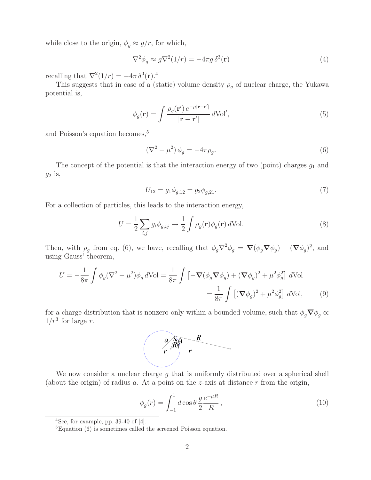while close to the origin,  $\phi$  $g \approx g/r$ , for which,

$$
\nabla^2 \phi_g \approx g \nabla^2 (1/r) = -4\pi g \,\delta^3(\mathbf{r})\tag{4}
$$

recalling that  $\nabla^2(1/r) = -4\pi \delta^3(\mathbf{r})^4$ .<br>This suggests that in case of a (s

This suggests that in case of a (static) volume density  $\rho_g$  of nuclear charge, the Yukawa<br>optial is potential is,

$$
\phi_g(\mathbf{r}) = \int \frac{\rho_g(\mathbf{r}') e^{-\mu|\mathbf{r}-\mathbf{r}'|}}{|\mathbf{r}-\mathbf{r}'|} d\text{Vol}',\tag{5}
$$

and Poisson's equation becomes,<sup>5</sup>

$$
\left(\nabla^2 - \mu^2\right)\phi_g = -4\pi\rho_g.\tag{6}
$$

The concept of the potential is that the interaction energy of two (point) charges  $g_1$  and  $g_2$  is,

$$
U_{12} = g_1 \phi_{g,12} = g_2 \phi_{g,21}.
$$
\n(7)

For a collection of particles, this leads to the interaction energy,

$$
U = \frac{1}{2} \sum_{i,j} g_i \phi_{g,ij} \to \frac{1}{2} \int \rho_g(\mathbf{r}) \phi_g(\mathbf{r}) d\text{Vol}.
$$
 (8)

Then, with  $\rho_g$  from eq. (6), we have, recalling that  $\phi_g \nabla^2 \phi_g = \nabla (\phi_g \nabla \phi_g) - (\nabla \phi_g)^2$ , and wing Couse' theorem using Gauss' theorem,

$$
U = -\frac{1}{8\pi} \int \phi_g (\nabla^2 - \mu^2) \phi_g d\text{Vol} = \frac{1}{8\pi} \int \left[ -\nabla (\phi_g \nabla \phi_g) + (\nabla \phi_g)^2 + \mu^2 \phi_g^2 \right] d\text{Vol}
$$
  

$$
= \frac{1}{8\pi} \int \left[ (\nabla \phi_g)^2 + \mu^2 \phi_g^2 \right] d\text{Vol}, \tag{9}
$$

for a charge distribution that is nonzero only within a bounded volume, such that  $\phi_g \nabla \phi_g \propto 1/r^3$  for large r.  $1/r^3$  for large r.



We now consider a nuclear charge  $g$  that is uniformly distributed over a spherical shell (about the origin) of radius a. At a point on the z-axis at distance  $r$  from the origin,

$$
\phi_g(r) = \int_{-1}^1 d\cos\theta \, \frac{g}{2} \frac{e^{-\mu R}}{R},\tag{10}
$$

 $4$ See, for example, pp. 39-40 of [4].

<sup>5</sup>Equation (6) is sometimes called the screened Poisson equation.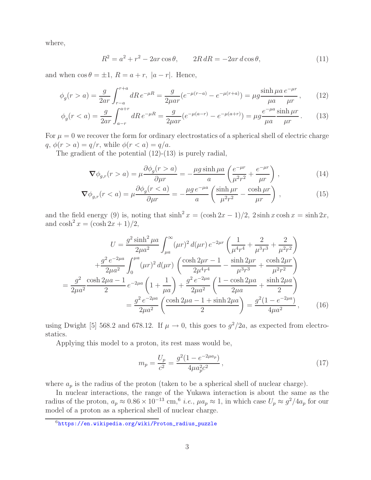where,

$$
R^2 = a^2 + r^2 - 2ar\cos\theta, \qquad 2R dR = -2ar\,d\cos\theta,\tag{11}
$$

and when  $\cos \theta = \pm 1$ ,  $R = a + r$ ,  $|a - r|$ . Hence,

$$
\phi_g(r > a) = \frac{g}{2ar} \int_{r-a}^{r+a} dR \, e^{-\mu R} = \frac{g}{2\mu ar} (e^{-\mu(r-a)} - e^{-\mu(r+a)}) = \mu g \frac{\sinh \mu a}{\mu a} \frac{e^{-\mu r}}{\mu r},\qquad(12)
$$

$$
\phi_g(r < a) = \frac{g}{2ar} \int_{a-r}^{a+r} dR \, e^{-\mu R} = \frac{g}{2\mu ar} (e^{-\mu(a-r)} - e^{-\mu(a+r)}) = \mu g \frac{e^{-\mu a} \sinh \mu r}{\mu a} \,. \tag{13}
$$

For  $\mu = 0$  we recover the form for ordinary electrostatics of a spherical shell of electric charge  $q, \phi(r>a) = q/r$ , while  $\phi(r < a) = q/a$ .

The gradient of the potential (12)-(13) is purely radial,

$$
\nabla \phi_{g,r}(r > a) = \mu \frac{\partial \phi_g(r > a)}{\partial \mu r} = -\frac{\mu g \sinh \mu a}{a} \left( \frac{e^{-\mu r}}{\mu^2 r^2} + \frac{e^{-\mu r}}{\mu r} \right) , \qquad (14)
$$

$$
\nabla \phi_{g,r}(r < a) = \mu \frac{\partial \phi_g(r < a)}{\partial \mu r} = -\frac{\mu g \, e^{-\mu a}}{a} \left( \frac{\sinh \mu r}{\mu^2 r^2} - \frac{\cosh \mu r}{\mu r} \right) \,, \tag{15}
$$

and the field energy (9) is, noting that  $\sinh^2 x = (\cosh 2x - 1)/2$ ,  $2 \sinh x \cosh x = \sinh 2x$ , and  $\cosh^2 x = (\cosh 2x + 1)/2$ ,

$$
U = \frac{g^2 \sinh^2 \mu a}{2\mu a^2} \int_{\mu a}^{\infty} (\mu r)^2 d(\mu r) e^{-2\mu r} \left( \frac{1}{\mu^4 r^4} + \frac{2}{\mu^3 r^3} + \frac{2}{\mu^2 r^2} \right)
$$
  
+ 
$$
\frac{g^2 e^{-2\mu a}}{2\mu a^2} \int_0^{\mu a} (\mu r)^2 d(\mu r) \left( \frac{\cosh 2\mu r - 1}{2\mu^4 r^4} - \frac{\sinh 2\mu r}{\mu^3 r^3} + \frac{\cosh 2\mu r}{\mu^2 r^2} \right)
$$
  
= 
$$
\frac{g^2}{2\mu a^2} \frac{\cosh 2\mu a - 1}{2} e^{-2\mu a} \left( 1 + \frac{1}{\mu a} \right) + \frac{g^2 e^{-2\mu a}}{2\mu a^2} \left( \frac{1 - \cosh 2\mu a}{2\mu a} + \frac{\sinh 2\mu a}{2} \right)
$$
  
= 
$$
\frac{g^2 e^{-2\mu a}}{2\mu a^2} \left( \frac{\cosh 2\mu a - 1 + \sinh 2\mu a}{2} \right) = \frac{g^2 (1 - e^{-2\mu a})}{4\mu a^2}, \qquad (16)
$$

using Dwight [5] 568.2 and 678.12. If  $\mu \to 0$ , this goes to  $g^2/2a$ , as expected from electrostatics.

Applying this model to a proton, its rest mass would be,

$$
m_p = \frac{U_p}{c^2} = \frac{g^2(1 - e^{-2\mu a_p})}{4\mu a_p^2 c^2},
$$
\n(17)

where  $a_p$  is the radius of the proton (taken to be a spherical shell of nuclear charge).

In nuclear interactions, the range of the Yukawa interaction is about the same as the radius of the proton,  $a_p \approx 0.86 \times 10^{-13}$  cm,<sup>6</sup> *i.e.*,  $\mu a_p \approx 1$ , in which case  $U_p \approx g^2/4a_p$  for our model of a proton as a spherical shell of nuclear charge.

<sup>6</sup>https://en.wikipedia.org/wiki/Proton\_radius\_puzzle